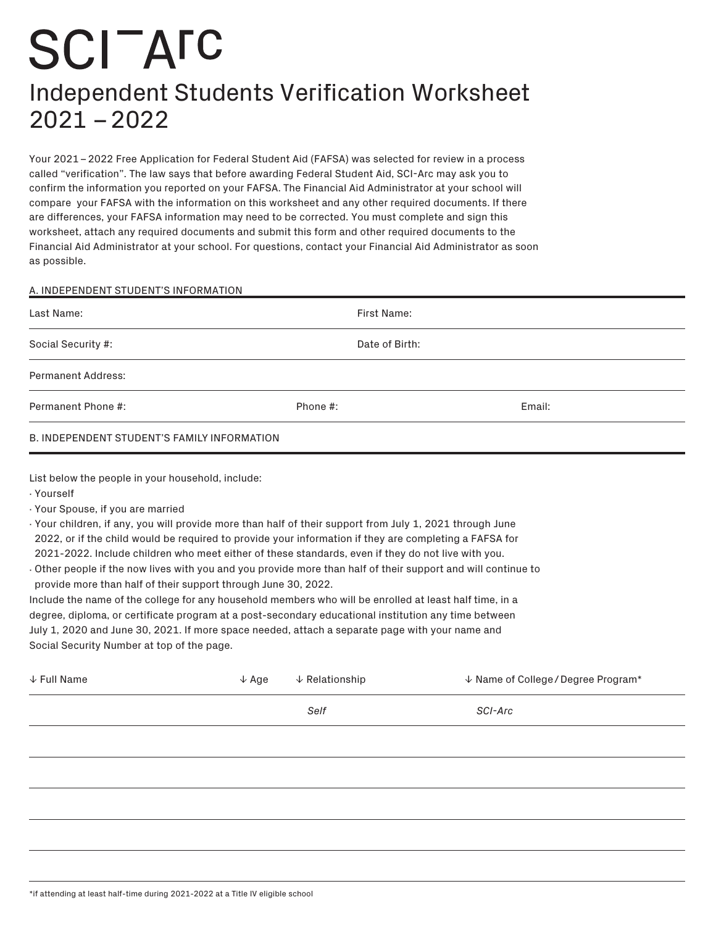# **SCITATC** Independent Students Verification Worksheet 2021 – 2022

Your 2021 – 2022 Free Application for Federal Student Aid (FAFSA) was selected for review in a process called "verification". The law says that before awarding Federal Student Aid, SCI-Arc may ask you to confirm the information you reported on your FAFSA. The Financial Aid Administrator at your school will compare your FAFSA with the information on this worksheet and any other required documents. If there are differences, your FAFSA information may need to be corrected. You must complete and sign this worksheet, attach any required documents and submit this form and other required documents to the Financial Aid Administrator at your school. For questions, contact your Financial Aid Administrator as soon as possible.

### A. INDEPENDENT STUDENT'S INFORMATION

| Last Name:                                  | First Name:    |        |  |  |  |
|---------------------------------------------|----------------|--------|--|--|--|
| Social Security #:                          | Date of Birth: |        |  |  |  |
| Permanent Address:                          |                |        |  |  |  |
| Permanent Phone #:                          | Phone #:       | Email: |  |  |  |
| B. INDEPENDENT STUDENT'S FAMILY INFORMATION |                |        |  |  |  |
|                                             |                |        |  |  |  |

List below the people in your household, include:

- ∙ Yourself
- ∙ Your Spouse, if you are married
- ∙ Your children, if any, you will provide more than half of their support from July 1, 2021 through June 2022, or if the child would be required to provide your information if they are completing a FAFSA for 2021-2022. Include children who meet either of these standards, even if they do not live with you.
- ∙ Other people if the now lives with you and you provide more than half of their support and will continue to
- provide more than half of their support through June 30, 2022.

Include the name of the college for any household members who will be enrolled at least half time, in a degree, diploma, or certificate program at a post-secondary educational institution any time between July 1, 2020 and June 30, 2021. If more space needed, attach a separate page with your name and Social Security Number at top of the page.

| $\downarrow$ Full Name | $\downarrow$ Age | $\downarrow$ Relationship | ↓ Name of College / Degree Program* |
|------------------------|------------------|---------------------------|-------------------------------------|
|                        |                  | Self                      | SCI-Arc                             |
|                        |                  |                           |                                     |
|                        |                  |                           |                                     |
|                        |                  |                           |                                     |
|                        |                  |                           |                                     |
|                        |                  |                           |                                     |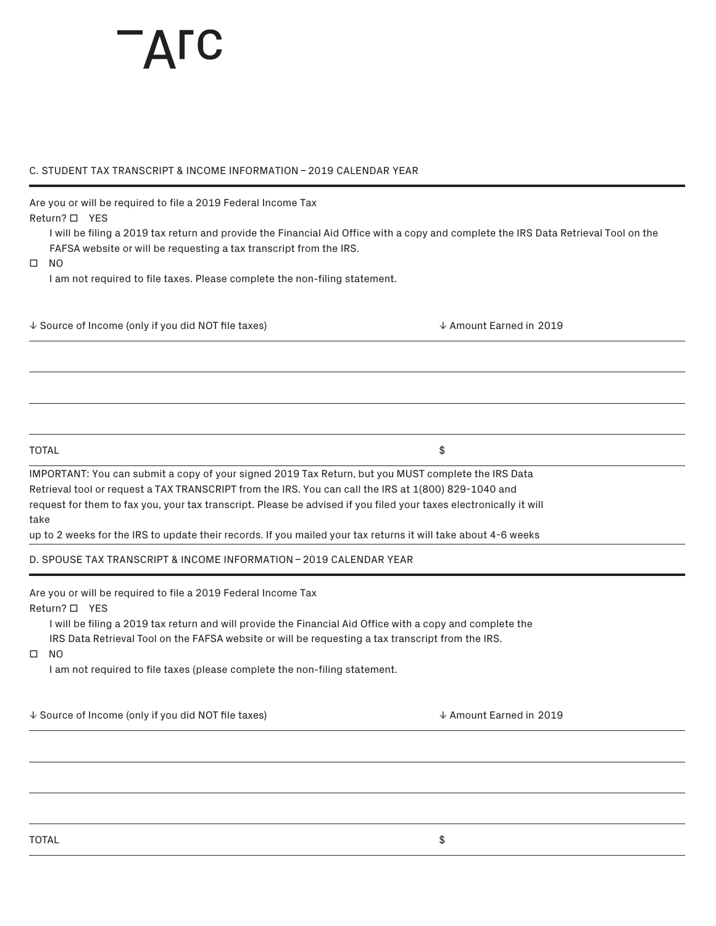## C. STUDENT TAX TRANSCRIPT & INCOME INFORMATION – 2019 CALENDAR YEAR

Are you or will be required to file a 2019 Federal Income Tax

Return? **D** YES

I will be filing a 2019 tax return and provide the Financial Aid Office with a copy and complete the IRS Data Retrieval Tool on the FAFSA website or will be requesting a tax transcript from the IRS.

 $\square$  NO

I am not required to file taxes. Please complete the non-filing statement.

� Source of Income (only if you did NOT file taxes) � Amount Earned in 2019

 $\texttt{TOTAL} \hspace{2.5cm} \texttt{\$}$ 

IMPORTANT: You can submit a copy of your signed 2019 Tax Return, but you MUST complete the IRS Data Retrieval tool or request a TAX TRANSCRIPT from the IRS. You can call the IRS at 1(800) 829-1040 and request for them to fax you, your tax transcript. Please be advised if you filed your taxes electronically it will take

up to 2 weeks for the IRS to update their records. If you mailed your tax returns it will take about 4-6 weeks

D. SPOUSE TAX TRANSCRIPT & INCOME INFORMATION –2019 CALENDAR YEAR

Are you or will be required to file a 2019 Federal Income Tax Return? **D** YES

I will be filing a 2019 tax return and will provide the Financial Aid Office with a copy and complete the IRS Data Retrieval Tool on the FAFSA website or will be requesting a tax transcript from the IRS.

 $\square$  NO

I am not required to file taxes (please complete the non-filing statement.

� Source of Income (only if you did NOT file taxes) � Amount Earned in 2019

 $\texttt{TOTAL} \hspace{2.5cm} \texttt{\$}$